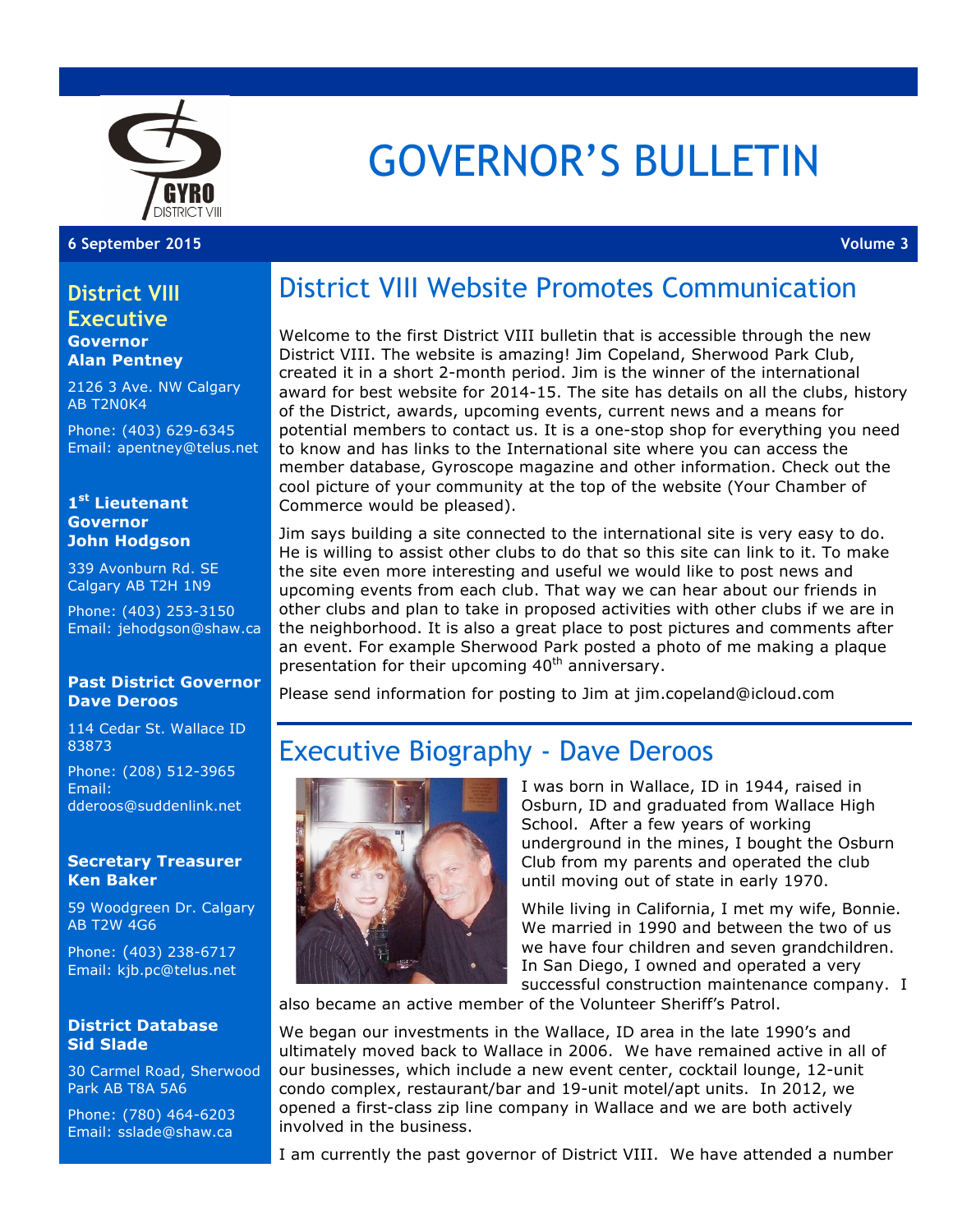

# GOVERNOR'S BULLETIN

#### **6 September 2015 Volume 3**

#### **District VIII Executive**

**Governor Alan Pentney**

2126 3 Ave. NW Calgary AB T2N0K4

Phone: (403) 629-6345 Email: apentney@telus.net

#### **1st Lieutenant Governor John Hodgson**

339 Avonburn Rd. SE Calgary AB T2H 1N9

Phone: (403) 253-3150 Email: jehodgson@shaw.ca

#### **Past District Governor Dave Deroos**

114 Cedar St. Wallace ID 83873

Phone: (208) 512-3965 Email: dderoos@suddenlink.net

#### **Secretary Treasurer Ken Baker**

59 Woodgreen Dr. Calgary AB T2W 4G6

Phone: (403) 238-6717 Email: kjb.pc@telus.net

#### **District Database Sid Slade**

30 Carmel Road, Sherwood Park AB T8A 5A6

Phone: (780) 464-6203 Email: sslade@shaw.ca

## District VIII Website Promotes Communication

Welcome to the first District VIII bulletin that is accessible through the new District VIII. The website is amazing! Jim Copeland, Sherwood Park Club, created it in a short 2-month period. Jim is the winner of the international award for best website for 2014-15. The site has details on all the clubs, history of the District, awards, upcoming events, current news and a means for potential members to contact us. It is a one-stop shop for everything you need to know and has links to the International site where you can access the member database, Gyroscope magazine and other information. Check out the cool picture of your community at the top of the website (Your Chamber of Commerce would be pleased).

Jim says building a site connected to the international site is very easy to do. He is willing to assist other clubs to do that so this site can link to it. To make the site even more interesting and useful we would like to post news and upcoming events from each club. That way we can hear about our friends in other clubs and plan to take in proposed activities with other clubs if we are in the neighborhood. It is also a great place to post pictures and comments after an event. For example Sherwood Park posted a photo of me making a plaque presentation for their upcoming 40<sup>th</sup> anniversary.

Please send information for posting to Jim at jim.copeland@icloud.com

## Executive Biography - Dave Deroos



I was born in Wallace, ID in 1944, raised in Osburn, ID and graduated from Wallace High School. After a few years of working underground in the mines, I bought the Osburn Club from my parents and operated the club until moving out of state in early 1970.

While living in California, I met my wife, Bonnie. We married in 1990 and between the two of us we have four children and seven grandchildren. In San Diego, I owned and operated a very successful construction maintenance company. I

also became an active member of the Volunteer Sheriff's Patrol.

We began our investments in the Wallace, ID area in the late 1990's and ultimately moved back to Wallace in 2006. We have remained active in all of our businesses, which include a new event center, cocktail lounge, 12-unit condo complex, restaurant/bar and 19-unit motel/apt units. In 2012, we opened a first-class zip line company in Wallace and we are both actively involved in the business.

I am currently the past governor of District VIII. We have attended a number